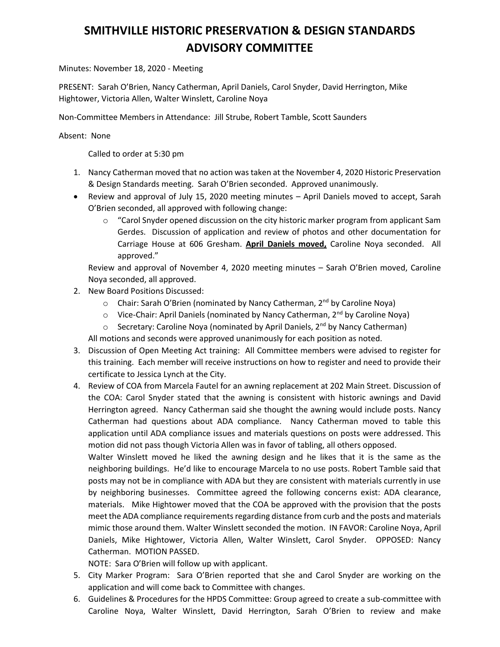## **SMITHVILLE HISTORIC PRESERVATION & DESIGN STANDARDS ADVISORY COMMITTEE**

Minutes: November 18, 2020 - Meeting

PRESENT: Sarah O'Brien, Nancy Catherman, April Daniels, Carol Snyder, David Herrington, Mike Hightower, Victoria Allen, Walter Winslett, Caroline Noya

Non-Committee Members in Attendance: Jill Strube, Robert Tamble, Scott Saunders

Absent: None

Called to order at 5:30 pm

- 1. Nancy Catherman moved that no action was taken at the November 4, 2020 Historic Preservation & Design Standards meeting. Sarah O'Brien seconded. Approved unanimously.
- Review and approval of July 15, 2020 meeting minutes April Daniels moved to accept, Sarah O'Brien seconded, all approved with following change:
	- o "Carol Snyder opened discussion on the city historic marker program from applicant Sam Gerdes. Discussion of application and review of photos and other documentation for Carriage House at 606 Gresham. **April Daniels moved,** Caroline Noya seconded. All approved."

Review and approval of November 4, 2020 meeting minutes – Sarah O'Brien moved, Caroline Noya seconded, all approved.

- 2. New Board Positions Discussed:
	- $\circ$  Chair: Sarah O'Brien (nominated by Nancy Catherman, 2<sup>nd</sup> by Caroline Noya)
	- $\circ$  Vice-Chair: April Daniels (nominated by Nancy Catherman, 2<sup>nd</sup> by Caroline Noya)
	- $\circ$  Secretary: Caroline Noya (nominated by April Daniels, 2<sup>nd</sup> by Nancy Catherman)

All motions and seconds were approved unanimously for each position as noted.

- 3. Discussion of Open Meeting Act training: All Committee members were advised to register for this training. Each member will receive instructions on how to register and need to provide their certificate to Jessica Lynch at the City.
- 4. Review of COA from Marcela Fautel for an awning replacement at 202 Main Street. Discussion of the COA: Carol Snyder stated that the awning is consistent with historic awnings and David Herrington agreed. Nancy Catherman said she thought the awning would include posts. Nancy Catherman had questions about ADA compliance. Nancy Catherman moved to table this application until ADA compliance issues and materials questions on posts were addressed. This motion did not pass though Victoria Allen was in favor of tabling, all others opposed.

Walter Winslett moved he liked the awning design and he likes that it is the same as the neighboring buildings. He'd like to encourage Marcela to no use posts. Robert Tamble said that posts may not be in compliance with ADA but they are consistent with materials currently in use by neighboring businesses. Committee agreed the following concerns exist: ADA clearance, materials. Mike Hightower moved that the COA be approved with the provision that the posts meet the ADA compliance requirements regarding distance from curb and the posts and materials mimic those around them. Walter Winslett seconded the motion. IN FAVOR: Caroline Noya, April Daniels, Mike Hightower, Victoria Allen, Walter Winslett, Carol Snyder. OPPOSED: Nancy Catherman. MOTION PASSED.

NOTE: Sara O'Brien will follow up with applicant.

- 5. City Marker Program: Sara O'Brien reported that she and Carol Snyder are working on the application and will come back to Committee with changes.
- 6. Guidelines & Procedures for the HPDS Committee: Group agreed to create a sub-committee with Caroline Noya, Walter Winslett, David Herrington, Sarah O'Brien to review and make